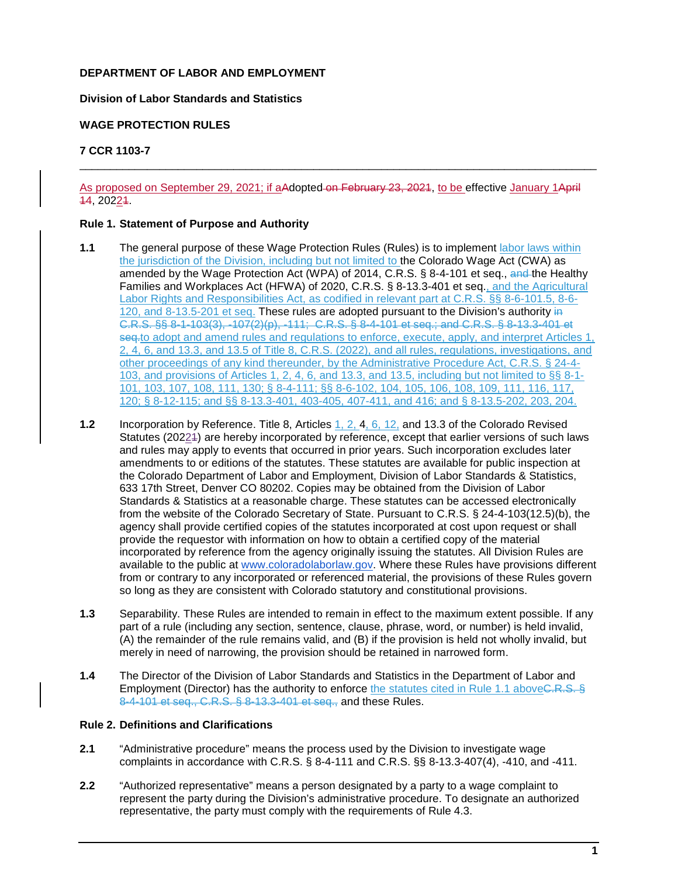# **DEPARTMENT OF LABOR AND EMPLOYMENT**

### **Division of Labor Standards and Statistics**

## **WAGE PROTECTION RULES**

## **7 CCR 1103-7**

As proposed on September 29, 2021; if aAdopted-on February 23, 2021, to be effective January 1April 14, 20221.

\_\_\_\_\_\_\_\_\_\_\_\_\_\_\_\_\_\_\_\_\_\_\_\_\_\_\_\_\_\_\_\_\_\_\_\_\_\_\_\_\_\_\_\_\_\_\_\_\_\_\_\_\_\_\_\_\_\_\_\_\_\_\_\_\_\_\_\_\_\_\_\_\_\_\_\_\_\_\_\_\_\_\_\_

### **Rule 1. Statement of Purpose and Authority**

- **1.1** The general purpose of these Wage Protection Rules (Rules) is to implement labor laws within the jurisdiction of the Division, including but not limited to the Colorado Wage Act (CWA) as amended by the Wage Protection Act (WPA) of 2014, C.R.S. § 8-4-101 et seq., and the Healthy Families and Workplaces Act (HFWA) of 2020, C.R.S. § 8-13.3-401 et seq., and the Agricultural Labor Rights and Responsibilities Act, as codified in relevant part at C.R.S. §§ 8-6-101.5, 8-6- 120, and 8-13.5-201 et seq. These rules are adopted pursuant to the Division's authority in C.R.S. §§ 8-1-103(3), -107(2)(p), -111; C.R.S. § 8-4-101 et seq.; and C.R.S. § 8-13.3-401 et seq-to adopt and amend rules and regulations to enforce, execute, apply, and interpret Articles 1, 2, 4, 6, and 13.3, and 13.5 of Title 8, C.R.S. (2022), and all rules, regulations, investigations, and other proceedings of any kind thereunder, by the Administrative Procedure Act, C.R.S. § 24-4- 103, and provisions of Articles 1, 2, 4, 6, and 13.3, and 13.5, including but not limited to §§ 8-1- 101, 103, 107, 108, 111, 130; § 8-4-111; §§ 8-6-102, 104, 105, 106, 108, 109, 111, 116, 117, 120; § 8-12-115; and §§ 8-13.3-401, 403-405, 407-411, and 416; and § 8-13.5-202, 203, 204.
- **1.2** Incorporation by Reference. Title 8, Articles 1, 2, 4, 6, 12, and 13.3 of the Colorado Revised Statutes (20224) are hereby incorporated by reference, except that earlier versions of such laws and rules may apply to events that occurred in prior years. Such incorporation excludes later amendments to or editions of the statutes. These statutes are available for public inspection at the Colorado Department of Labor and Employment, Division of Labor Standards & Statistics, 633 17th Street, Denver CO 80202. Copies may be obtained from the Division of Labor Standards & Statistics at a reasonable charge. These statutes can be accessed electronically from the website of the Colorado Secretary of State. Pursuant to C.R.S. § 24-4-103(12.5)(b), the agency shall provide certified copies of the statutes incorporated at cost upon request or shall provide the requestor with information on how to obtain a certified copy of the material incorporated by reference from the agency originally issuing the statutes. All Division Rules are available to the public at [www.coloradolaborlaw.gov.](http://www.coloradolaborlaw.gov/) Where these Rules have provisions different from or contrary to any incorporated or referenced material, the provisions of these Rules govern so long as they are consistent with Colorado statutory and constitutional provisions.
- **1.3** Separability. These Rules are intended to remain in effect to the maximum extent possible. If any part of a rule (including any section, sentence, clause, phrase, word, or number) is held invalid, (A) the remainder of the rule remains valid, and (B) if the provision is held not wholly invalid, but merely in need of narrowing, the provision should be retained in narrowed form.
- **1.4** The Director of the Division of Labor Standards and Statistics in the Department of Labor and Employment (Director) has the authority to enforce the statutes cited in Rule 1.1 aboveC.R.S. § 8-4-101 et seq., C.R.S. § 8-13.3-401 et seq., and these Rules.

### **Rule 2. Definitions and Clarifications**

- **2.1** "Administrative procedure" means the process used by the Division to investigate wage complaints in accordance with C.R.S. § 8-4-111 and C.R.S. §§ 8-13.3-407(4), -410, and -411.
- **2.2** "Authorized representative" means a person designated by a party to a wage complaint to represent the party during the Division's administrative procedure. To designate an authorized representative, the party must comply with the requirements of Rule 4.3.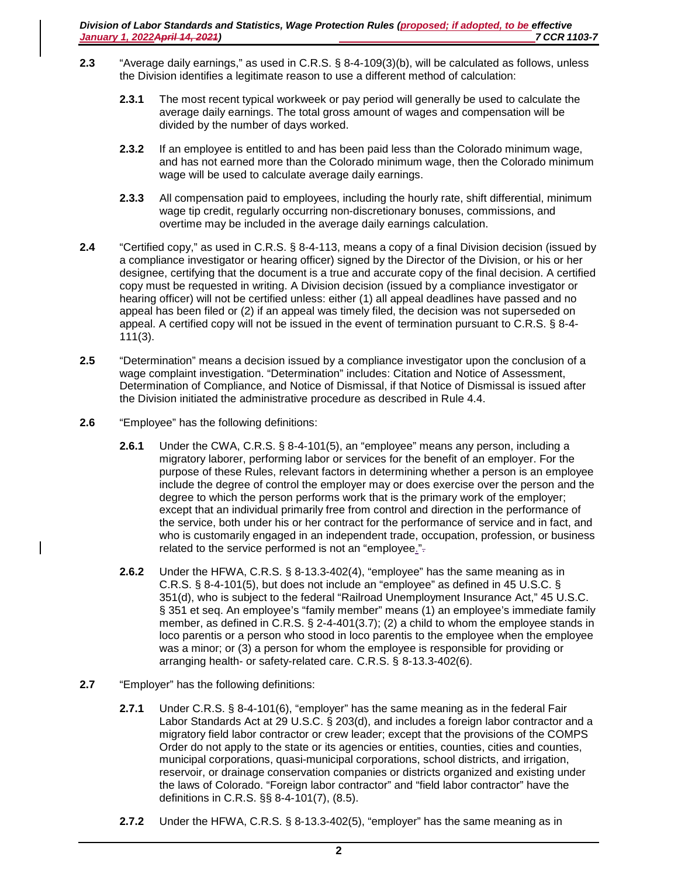- **2.3** "Average daily earnings," as used in C.R.S. § 8-4-109(3)(b), will be calculated as follows, unless the Division identifies a legitimate reason to use a different method of calculation:
	- **2.3.1** The most recent typical workweek or pay period will generally be used to calculate the average daily earnings. The total gross amount of wages and compensation will be divided by the number of days worked.
	- **2.3.2** If an employee is entitled to and has been paid less than the Colorado minimum wage, and has not earned more than the Colorado minimum wage, then the Colorado minimum wage will be used to calculate average daily earnings.
	- **2.3.3** All compensation paid to employees, including the hourly rate, shift differential, minimum wage tip credit, regularly occurring non-discretionary bonuses, commissions, and overtime may be included in the average daily earnings calculation.
- **2.4** "Certified copy," as used in C.R.S. § 8-4-113, means a copy of a final Division decision (issued by a compliance investigator or hearing officer) signed by the Director of the Division, or his or her designee, certifying that the document is a true and accurate copy of the final decision. A certified copy must be requested in writing. A Division decision (issued by a compliance investigator or hearing officer) will not be certified unless: either (1) all appeal deadlines have passed and no appeal has been filed or (2) if an appeal was timely filed, the decision was not superseded on appeal. A certified copy will not be issued in the event of termination pursuant to C.R.S. § 8-4- 111(3).
- **2.5** "Determination" means a decision issued by a compliance investigator upon the conclusion of a wage complaint investigation. "Determination" includes: Citation and Notice of Assessment, Determination of Compliance, and Notice of Dismissal, if that Notice of Dismissal is issued after the Division initiated the administrative procedure as described in Rule 4.4.
- **2.6** "Employee" has the following definitions:
	- **2.6.1** Under the CWA, C.R.S. § 8-4-101(5), an "employee" means any person, including a migratory laborer, performing labor or services for the benefit of an employer. For the purpose of these Rules, relevant factors in determining whether a person is an employee include the degree of control the employer may or does exercise over the person and the degree to which the person performs work that is the primary work of the employer; except that an individual primarily free from control and direction in the performance of the service, both under his or her contract for the performance of service and in fact, and who is customarily engaged in an independent trade, occupation, profession, or business related to the service performed is not an "employee.".
	- **2.6.2** Under the HFWA, C.R.S. § 8-13.3-402(4), "employee" has the same meaning as in C.R.S. § 8-4-101(5), but does not include an "employee" as defined in 45 U.S.C. § 351(d), who is subject to the federal "Railroad Unemployment Insurance Act," 45 U.S.C. § 351 et seq. An employee's "family member" means (1) an employee's immediate family member, as defined in C.R.S. § 2-4-401(3.7); (2) a child to whom the employee stands in loco parentis or a person who stood in loco parentis to the employee when the employee was a minor; or (3) a person for whom the employee is responsible for providing or arranging health- or safety-related care. C.R.S. § 8-13.3-402(6).
- **2.7** "Employer" has the following definitions:
	- **2.7.1** Under C.R.S. § 8-4-101(6), "employer" has the same meaning as in the federal Fair Labor Standards Act at 29 U.S.C. § 203(d), and includes a foreign labor contractor and a migratory field labor contractor or crew leader; except that the provisions of the COMPS Order do not apply to the state or its agencies or entities, counties, cities and counties, municipal corporations, quasi-municipal corporations, school districts, and irrigation, reservoir, or drainage conservation companies or districts organized and existing under the laws of Colorado. "Foreign labor contractor" and "field labor contractor" have the definitions in C.R.S. §§ 8-4-101(7), (8.5).
	- **2.7.2** Under the HFWA, C.R.S. § 8-13.3-402(5), "employer" has the same meaning as in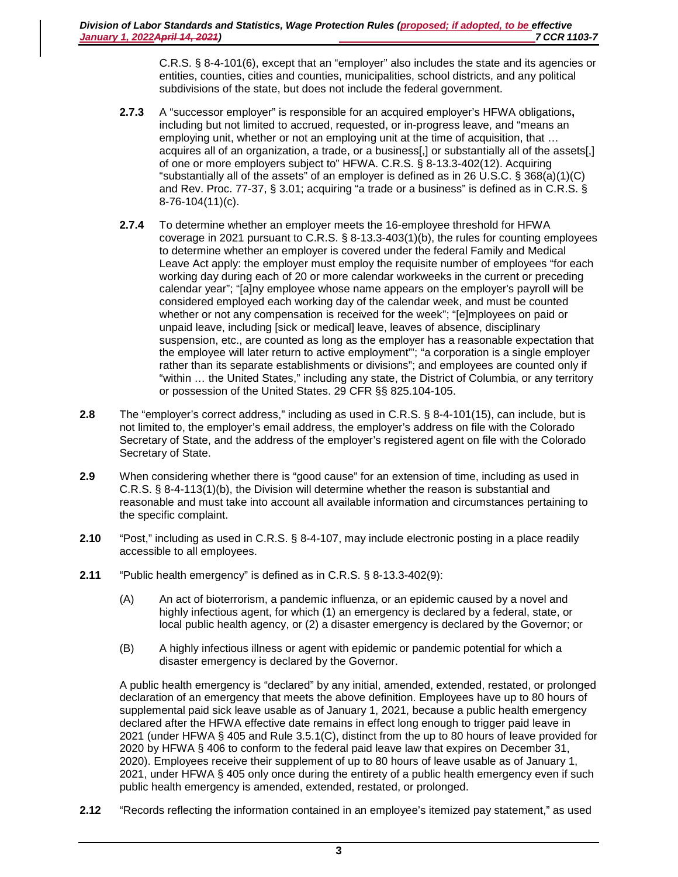C.R.S. § 8-4-101(6), except that an "employer" also includes the state and its agencies or entities, counties, cities and counties, municipalities, school districts, and any political subdivisions of the state, but does not include the federal government.

- **2.7.3** A "successor employer" is responsible for an acquired employer's HFWA obligations**,**  including but not limited to accrued, requested, or in-progress leave, and "means an employing unit, whether or not an employing unit at the time of acquisition, that … acquires all of an organization, a trade, or a business[,] or substantially all of the assets[,] of one or more employers subject to" HFWA. C.R.S. § 8-13.3-402(12). Acquiring "substantially all of the assets" of an employer is defined as in 26 U.S.C. § 368(a)(1)(C) and Rev. Proc. 77-37, § 3.01; acquiring "a trade or a business" is defined as in C.R.S. § 8-76-104(11)(c).
- **2.7.4** To determine whether an employer meets the 16-employee threshold for HFWA coverage in 2021 pursuant to C.R.S. § 8-13.3-403(1)(b), the rules for counting employees to determine whether an employer is covered under the federal Family and Medical Leave Act apply: the employer must employ the requisite number of employees "for each working day during each of 20 or more calendar workweeks in the current or preceding calendar year"; "[a]ny employee whose name appears on the employer's payroll will be considered employed each working day of the calendar week, and must be counted whether or not any compensation is received for the week"; "[e]mployees on paid or unpaid leave, including [sick or medical] leave, leaves of absence, disciplinary suspension, etc., are counted as long as the employer has a reasonable expectation that the employee will later return to active employment"'; "a corporation is a single employer rather than its separate establishments or divisions"; and employees are counted only if "within … the United States," including any state, the District of Columbia, or any territory or possession of the United States. 29 CFR §§ 825.104-105.
- **2.8** The "employer's correct address," including as used in C.R.S. § 8-4-101(15), can include, but is not limited to, the employer's email address, the employer's address on file with the Colorado Secretary of State, and the address of the employer's registered agent on file with the Colorado Secretary of State.
- **2.9** When considering whether there is "good cause" for an extension of time, including as used in C.R.S. § 8-4-113(1)(b), the Division will determine whether the reason is substantial and reasonable and must take into account all available information and circumstances pertaining to the specific complaint.
- **2.10** "Post," including as used in C.R.S. § 8-4-107, may include electronic posting in a place readily accessible to all employees.
- **2.11** "Public health emergency" is defined as in C.R.S. § 8-13.3-402(9):
	- (A) An act of bioterrorism, a pandemic influenza, or an epidemic caused by a novel and highly infectious agent, for which (1) an emergency is declared by a federal, state, or local public health agency, or (2) a disaster emergency is declared by the Governor; or
	- (B) A highly infectious illness or agent with epidemic or pandemic potential for which a disaster emergency is declared by the Governor.

A public health emergency is "declared" by any initial, amended, extended, restated, or prolonged declaration of an emergency that meets the above definition. Employees have up to 80 hours of supplemental paid sick leave usable as of January 1, 2021, because a public health emergency declared after the HFWA effective date remains in effect long enough to trigger paid leave in 2021 (under HFWA § 405 and Rule 3.5.1(C), distinct from the up to 80 hours of leave provided for 2020 by HFWA § 406 to conform to the federal paid leave law that expires on December 31, 2020). Employees receive their supplement of up to 80 hours of leave usable as of January 1, 2021, under HFWA § 405 only once during the entirety of a public health emergency even if such public health emergency is amended, extended, restated, or prolonged.

**2.12** "Records reflecting the information contained in an employee's itemized pay statement," as used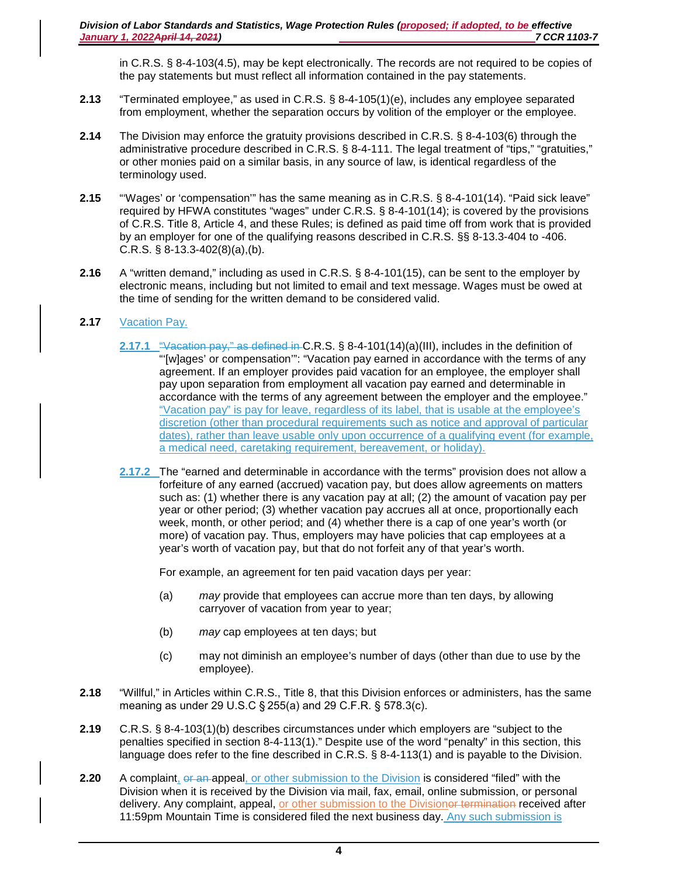in C.R.S. § 8-4-103(4.5), may be kept electronically. The records are not required to be copies of the pay statements but must reflect all information contained in the pay statements.

- **2.13** "Terminated employee," as used in C.R.S. § 8-4-105(1)(e), includes any employee separated from employment, whether the separation occurs by volition of the employer or the employee.
- **2.14** The Division may enforce the gratuity provisions described in C.R.S. § 8-4-103(6) through the administrative procedure described in C.R.S. § 8-4-111. The legal treatment of "tips," "gratuities," or other monies paid on a similar basis, in any source of law, is identical regardless of the terminology used.
- **2.15** "'Wages' or 'compensation'" has the same meaning as in C.R.S. § 8-4-101(14). "Paid sick leave" required by HFWA constitutes "wages" under C.R.S. § 8-4-101(14); is covered by the provisions of C.R.S. Title 8, Article 4, and these Rules; is defined as paid time off from work that is provided by an employer for one of the qualifying reasons described in C.R.S. §§ 8-13.3-404 to -406. C.R.S.  $\S$  8-13.3-402(8)(a),(b).
- **2.16** A "written demand," including as used in C.R.S. § 8-4-101(15), can be sent to the employer by electronic means, including but not limited to email and text message. Wages must be owed at the time of sending for the written demand to be considered valid.
- **2.17** Vacation Pay.
	- **2.17.1** "Vacation pay," as defined in C.R.S. § 8-4-101(14)(a)(III), includes in the definition of "'[w]ages' or compensation'": "Vacation pay earned in accordance with the terms of any agreement. If an employer provides paid vacation for an employee, the employer shall pay upon separation from employment all vacation pay earned and determinable in accordance with the terms of any agreement between the employer and the employee." "Vacation pay" is pay for leave, regardless of its label, that is usable at the employee's discretion (other than procedural requirements such as notice and approval of particular dates), rather than leave usable only upon occurrence of a qualifying event (for example, a medical need, caretaking requirement, bereavement, or holiday).
	- **2.17.2** The "earned and determinable in accordance with the terms" provision does not allow a forfeiture of any earned (accrued) vacation pay, but does allow agreements on matters such as: (1) whether there is any vacation pay at all; (2) the amount of vacation pay per year or other period; (3) whether vacation pay accrues all at once, proportionally each week, month, or other period; and (4) whether there is a cap of one year's worth (or more) of vacation pay. Thus, employers may have policies that cap employees at a year's worth of vacation pay, but that do not forfeit any of that year's worth.

For example, an agreement for ten paid vacation days per year:

- (a) *may* provide that employees can accrue more than ten days, by allowing carryover of vacation from year to year;
- (b) *may* cap employees at ten days; but
- (c) may not diminish an employee's number of days (other than due to use by the employee).
- **2.18** "Willful," in Articles within C.R.S., Title 8, that this Division enforces or administers, has the same meaning as under 29 U.S.C § 255(a) and 29 C.F.R. § 578.3(c).
- **2.19** C.R.S. § 8-4-103(1)(b) describes circumstances under which employers are "subject to the penalties specified in section 8-4-113(1)." Despite use of the word "penalty" in this section, this language does refer to the fine described in C.R.S. § 8-4-113(1) and is payable to the Division.
- **2.20** A complaint, or an appeal, or other submission to the Division is considered "filed" with the Division when it is received by the Division via mail, fax, email, online submission, or personal delivery. Any complaint, appeal, or other submission to the Divisioner termination received after 11:59pm Mountain Time is considered filed the next business day. Any such submission is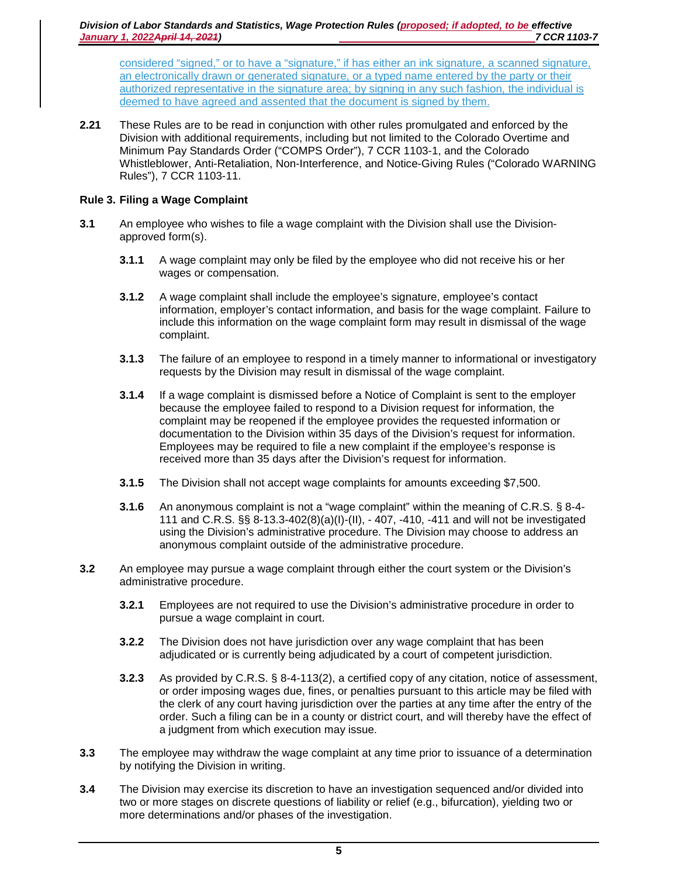considered "signed," or to have a "signature," if has either an ink signature, a scanned signature, an electronically drawn or generated signature, or a typed name entered by the party or their authorized representative in the signature area; by signing in any such fashion, the individual is deemed to have agreed and assented that the document is signed by them.

**2.21** These Rules are to be read in conjunction with other rules promulgated and enforced by the Division with additional requirements, including but not limited to the Colorado Overtime and Minimum Pay Standards Order ("COMPS Order"), 7 CCR 1103-1, and the Colorado Whistleblower, Anti-Retaliation, Non-Interference, and Notice-Giving Rules ("Colorado WARNING Rules"), 7 CCR 1103-11.

# **Rule 3. Filing a Wage Complaint**

- **3.1** An employee who wishes to file a wage complaint with the Division shall use the Divisionapproved form(s).
	- **3.1.1** A wage complaint may only be filed by the employee who did not receive his or her wages or compensation.
	- **3.1.2** A wage complaint shall include the employee's signature, employee's contact information, employer's contact information, and basis for the wage complaint. Failure to include this information on the wage complaint form may result in dismissal of the wage complaint.
	- **3.1.3** The failure of an employee to respond in a timely manner to informational or investigatory requests by the Division may result in dismissal of the wage complaint.
	- **3.1.4** If a wage complaint is dismissed before a Notice of Complaint is sent to the employer because the employee failed to respond to a Division request for information, the complaint may be reopened if the employee provides the requested information or documentation to the Division within 35 days of the Division's request for information. Employees may be required to file a new complaint if the employee's response is received more than 35 days after the Division's request for information.
	- **3.1.5** The Division shall not accept wage complaints for amounts exceeding \$7,500.
	- **3.1.6** An anonymous complaint is not a "wage complaint" within the meaning of C.R.S. § 8-4- 111 and C.R.S. §§ 8-13.3-402(8)(a)(I)-(II), - 407, -410, -411 and will not be investigated using the Division's administrative procedure. The Division may choose to address an anonymous complaint outside of the administrative procedure.
- **3.2** An employee may pursue a wage complaint through either the court system or the Division's administrative procedure.
	- **3.2.1** Employees are not required to use the Division's administrative procedure in order to pursue a wage complaint in court.
	- **3.2.2** The Division does not have jurisdiction over any wage complaint that has been adjudicated or is currently being adjudicated by a court of competent jurisdiction.
	- **3.2.3** As provided by C.R.S. § 8-4-113(2), a certified copy of any citation, notice of assessment, or order imposing wages due, fines, or penalties pursuant to this article may be filed with the clerk of any court having jurisdiction over the parties at any time after the entry of the order. Such a filing can be in a county or district court, and will thereby have the effect of a judgment from which execution may issue.
- **3.3** The employee may withdraw the wage complaint at any time prior to issuance of a determination by notifying the Division in writing.
- **3.4** The Division may exercise its discretion to have an investigation sequenced and/or divided into two or more stages on discrete questions of liability or relief (e.g., bifurcation), yielding two or more determinations and/or phases of the investigation.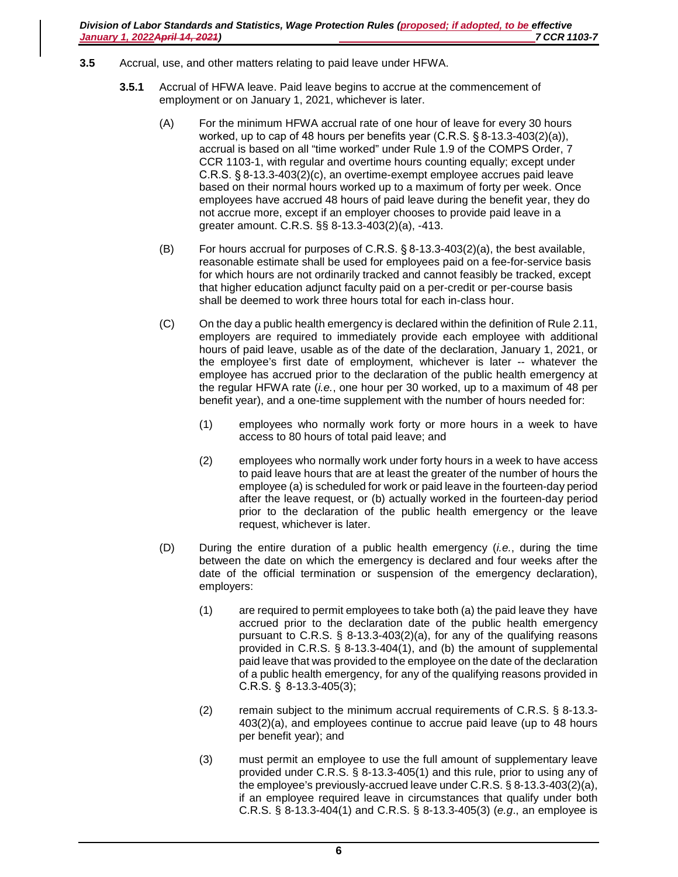- **3.5** Accrual, use, and other matters relating to paid leave under HFWA.
	- **3.5.1** Accrual of HFWA leave. Paid leave begins to accrue at the commencement of employment or on January 1, 2021, whichever is later.
		- (A) For the minimum HFWA accrual rate of one hour of leave for every 30 hours worked, up to cap of 48 hours per benefits year (C.R.S. § 8-13.3-403(2)(a)), accrual is based on all "time worked" under Rule 1.9 of the COMPS Order, 7 CCR 1103-1, with regular and overtime hours counting equally; except under C.R.S. § 8-13.3-403(2)(c), an overtime-exempt employee accrues paid leave based on their normal hours worked up to a maximum of forty per week. Once employees have accrued 48 hours of paid leave during the benefit year, they do not accrue more, except if an employer chooses to provide paid leave in a greater amount. C.R.S. §§ 8-13.3-403(2)(a), -413.
		- (B) For hours accrual for purposes of C.R.S. § 8-13.3-403(2)(a), the best available, reasonable estimate shall be used for employees paid on a fee-for-service basis for which hours are not ordinarily tracked and cannot feasibly be tracked, except that higher education adjunct faculty paid on a per-credit or per-course basis shall be deemed to work three hours total for each in-class hour.
		- (C) On the day a public health emergency is declared within the definition of Rule 2.11, employers are required to immediately provide each employee with additional hours of paid leave, usable as of the date of the declaration, January 1, 2021, or the employee's first date of employment, whichever is later -- whatever the employee has accrued prior to the declaration of the public health emergency at the regular HFWA rate (*i.e.*, one hour per 30 worked, up to a maximum of 48 per benefit year), and a one-time supplement with the number of hours needed for:
			- (1) employees who normally work forty or more hours in a week to have access to 80 hours of total paid leave; and
			- (2) employees who normally work under forty hours in a week to have access to paid leave hours that are at least the greater of the number of hours the employee (a) is scheduled for work or paid leave in the fourteen-day period after the leave request, or (b) actually worked in the fourteen-day period prior to the declaration of the public health emergency or the leave request, whichever is later.
		- (D) During the entire duration of a public health emergency (*i.e.*, during the time between the date on which the emergency is declared and four weeks after the date of the official termination or suspension of the emergency declaration), employers:
			- (1) are required to permit employees to take both (a) the paid leave they have accrued prior to the declaration date of the public health emergency pursuant to C.R.S. § 8-13.3-403(2)(a), for any of the qualifying reasons provided in C.R.S. § 8-13.3-404(1), and (b) the amount of supplemental paid leave that was provided to the employee on the date of the declaration of a public health emergency, for any of the qualifying reasons provided in C.R.S. §  8-13.3-405(3);
			- (2) remain subject to the minimum accrual requirements of C.R.S. § 8-13.3- 403(2)(a), and employees continue to accrue paid leave (up to 48 hours per benefit year); and
			- (3) must permit an employee to use the full amount of supplementary leave provided under C.R.S. § 8-13.3-405(1) and this rule, prior to using any of the employee's previously-accrued leave under C.R.S. § 8-13.3-403(2)(a), if an employee required leave in circumstances that qualify under both C.R.S. § 8-13.3-404(1) and C.R.S. § 8-13.3-405(3) (*e.g*., an employee is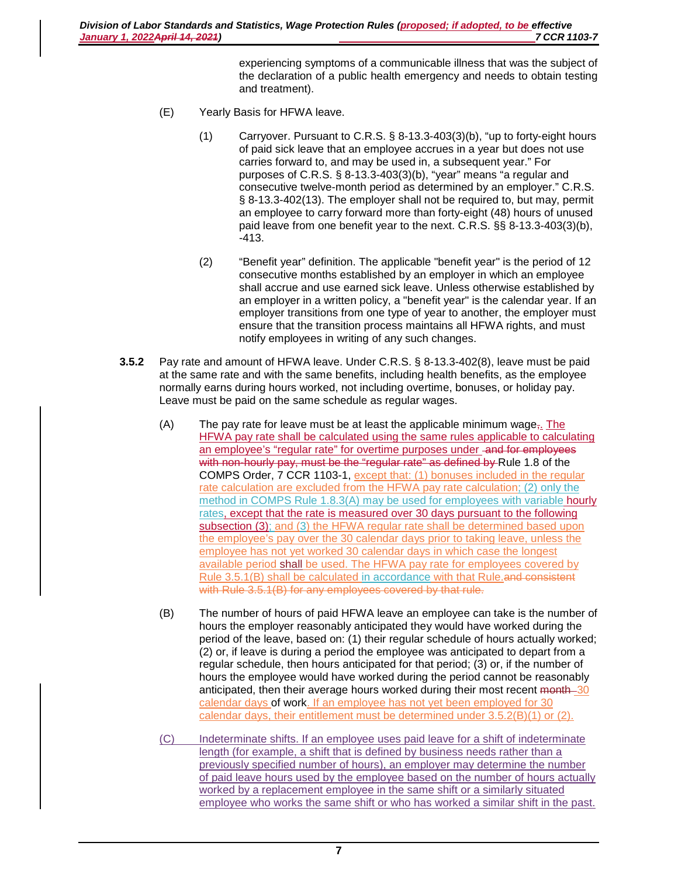experiencing symptoms of a communicable illness that was the subject of the declaration of a public health emergency and needs to obtain testing and treatment).

- (E) Yearly Basis for HFWA leave.
	- (1) Carryover. Pursuant to C.R.S. § 8-13.3-403(3)(b), "up to forty-eight hours of paid sick leave that an employee accrues in a year but does not use carries forward to, and may be used in, a subsequent year." For purposes of C.R.S. § 8-13.3-403(3)(b), "year" means "a regular and consecutive twelve-month period as determined by an employer." C.R.S. § 8-13.3-402(13). The employer shall not be required to, but may, permit an employee to carry forward more than forty-eight (48) hours of unused paid leave from one benefit year to the next. C.R.S. §§ 8-13.3-403(3)(b), -413.
	- (2) "Benefit year" definition. The applicable "benefit year" is the period of 12 consecutive months established by an employer in which an employee shall accrue and use earned sick leave. Unless otherwise established by an employer in a written policy, a "benefit year" is the calendar year. If an employer transitions from one type of year to another, the employer must ensure that the transition process maintains all HFWA rights, and must notify employees in writing of any such changes.
- **3.5.2** Pay rate and amount of HFWA leave. Under C.R.S. § 8-13.3-402(8), leave must be paid at the same rate and with the same benefits, including health benefits, as the employee normally earns during hours worked, not including overtime, bonuses, or holiday pay. Leave must be paid on the same schedule as regular wages.
	- (A) The pay rate for leave must be at least the applicable minimum wage,. The HFWA pay rate shall be calculated using the same rules applicable to calculating an employee's "regular rate" for overtime purposes under -and for employees with non-hourly pay, must be the "regular rate" as defined by Rule 1.8 of the COMPS Order, 7 CCR 1103-1, except that: (1) bonuses included in the regular rate calculation are excluded from the HFWA pay rate calculation; (2) only the method in COMPS Rule 1.8.3(A) may be used for employees with variable hourly rates, except that the rate is measured over 30 days pursuant to the following subsection (3); and (3) the HFWA regular rate shall be determined based upon the employee's pay over the 30 calendar days prior to taking leave, unless the employee has not yet worked 30 calendar days in which case the longest available period shall be used. The HFWA pay rate for employees covered by Rule 3.5.1(B) shall be calculated in accordance with that Rule.and consistent with Rule 3.5.1(B) for any employees covered by that rule.
	- (B) The number of hours of paid HFWA leave an employee can take is the number of hours the employer reasonably anticipated they would have worked during the period of the leave, based on: (1) their regular schedule of hours actually worked; (2) or, if leave is during a period the employee was anticipated to depart from a regular schedule, then hours anticipated for that period; (3) or, if the number of hours the employee would have worked during the period cannot be reasonably anticipated, then their average hours worked during their most recent month 30 calendar days of work. If an employee has not yet been employed for 30 calendar days, their entitlement must be determined under 3.5.2(B)(1) or (2).
	- (C) Indeterminate shifts. If an employee uses paid leave for a shift of indeterminate length (for example, a shift that is defined by business needs rather than a previously specified number of hours), an employer may determine the number of paid leave hours used by the employee based on the number of hours actually worked by a replacement employee in the same shift or a similarly situated employee who works the same shift or who has worked a similar shift in the past.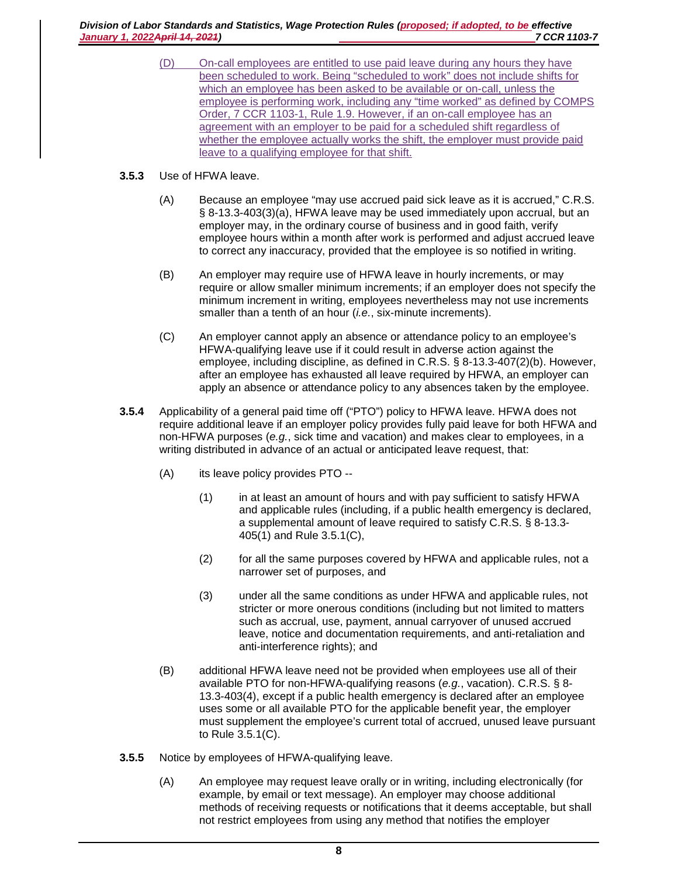*Division of Labor Standards and Statistics, Wage Protection Rules (proposed; if adopted, to be effective January 1, 2022 April 14, 2021*)

- (D) On-call employees are entitled to use paid leave during any hours they have been scheduled to work. Being "scheduled to work" does not include shifts for which an employee has been asked to be available or on-call, unless the employee is performing work, including any "time worked" as defined by COMPS Order, 7 CCR 1103-1, Rule 1.9. However, if an on-call employee has an agreement with an employer to be paid for a scheduled shift regardless of whether the employee actually works the shift, the employer must provide paid leave to a qualifying employee for that shift.
- **3.5.3** Use of HFWA leave.
	- (A) Because an employee "may use accrued paid sick leave as it is accrued," C.R.S. § 8-13.3-403(3)(a), HFWA leave may be used immediately upon accrual, but an employer may, in the ordinary course of business and in good faith, verify employee hours within a month after work is performed and adjust accrued leave to correct any inaccuracy, provided that the employee is so notified in writing.
	- (B) An employer may require use of HFWA leave in hourly increments, or may require or allow smaller minimum increments; if an employer does not specify the minimum increment in writing, employees nevertheless may not use increments smaller than a tenth of an hour (*i.e.*, six-minute increments).
	- (C) An employer cannot apply an absence or attendance policy to an employee's HFWA-qualifying leave use if it could result in adverse action against the employee, including discipline, as defined in C.R.S. § 8-13.3-407(2)(b). However, after an employee has exhausted all leave required by HFWA, an employer can apply an absence or attendance policy to any absences taken by the employee.
- **3.5.4** Applicability of a general paid time off ("PTO") policy to HFWA leave. HFWA does not require additional leave if an employer policy provides fully paid leave for both HFWA and non-HFWA purposes (*e.g.*, sick time and vacation) and makes clear to employees, in a writing distributed in advance of an actual or anticipated leave request, that:
	- (A) its leave policy provides PTO --
		- (1) in at least an amount of hours and with pay sufficient to satisfy HFWA and applicable rules (including, if a public health emergency is declared, a supplemental amount of leave required to satisfy C.R.S. § 8-13.3- 405(1) and Rule 3.5.1(C),
		- (2) for all the same purposes covered by HFWA and applicable rules, not a narrower set of purposes, and
		- (3) under all the same conditions as under HFWA and applicable rules, not stricter or more onerous conditions (including but not limited to matters such as accrual, use, payment, annual carryover of unused accrued leave, notice and documentation requirements, and anti-retaliation and anti-interference rights); and
	- (B) additional HFWA leave need not be provided when employees use all of their available PTO for non-HFWA-qualifying reasons (*e.g.*, vacation). C.R.S. § 8- 13.3-403(4), except if a public health emergency is declared after an employee uses some or all available PTO for the applicable benefit year, the employer must supplement the employee's current total of accrued, unused leave pursuant to Rule 3.5.1(C).
- **3.5.5** Notice by employees of HFWA-qualifying leave.
	- (A) An employee may request leave orally or in writing, including electronically (for example, by email or text message). An employer may choose additional methods of receiving requests or notifications that it deems acceptable, but shall not restrict employees from using any method that notifies the employer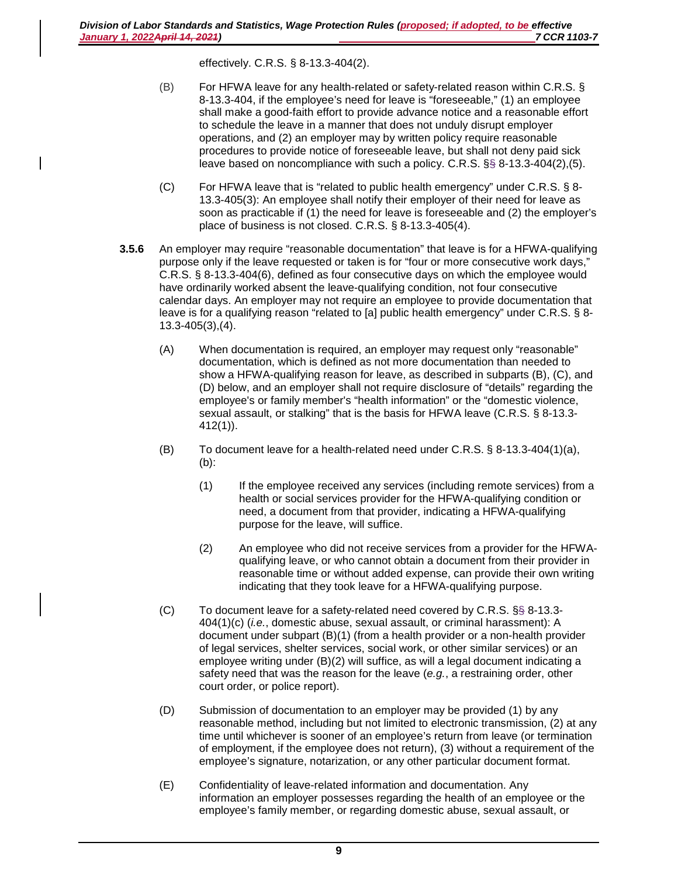effectively. C.R.S. § 8-13.3-404(2).

- (B) For HFWA leave for any health-related or safety-related reason within C.R.S. § 8-13.3-404, if the employee's need for leave is "foreseeable," (1) an employee shall make a good-faith effort to provide advance notice and a reasonable effort to schedule the leave in a manner that does not unduly disrupt employer operations, and (2) an employer may by written policy require reasonable procedures to provide notice of foreseeable leave, but shall not deny paid sick leave based on noncompliance with such a policy. C.R.S. §§ 8-13.3-404(2),(5).
- (C) For HFWA leave that is "related to public health emergency" under C.R.S.  $\S$  8-13.3-405(3): An employee shall notify their employer of their need for leave as soon as practicable if (1) the need for leave is foreseeable and (2) the employer's place of business is not closed. C.R.S. § 8-13.3-405(4).
- **3.5.6** An employer may require "reasonable documentation" that leave is for a HFWA-qualifying purpose only if the leave requested or taken is for "four or more consecutive work days," C.R.S. § 8-13.3-404(6), defined as four consecutive days on which the employee would have ordinarily worked absent the leave-qualifying condition, not four consecutive calendar days. An employer may not require an employee to provide documentation that leave is for a qualifying reason "related to [a] public health emergency" under C.R.S. § 8- 13.3-405(3),(4).
	- (A) When documentation is required, an employer may request only "reasonable" documentation, which is defined as not more documentation than needed to show a HFWA-qualifying reason for leave, as described in subparts (B), (C), and (D) below, and an employer shall not require disclosure of "details" regarding the employee's or family member's "health information" or the "domestic violence, sexual assault, or stalking" that is the basis for HFWA leave (C.R.S. § 8-13.3- 412(1)).
	- (B) To document leave for a health-related need under C.R.S. § 8-13.3-404(1)(a), (b):
		- (1) If the employee received any services (including remote services) from a health or social services provider for the HFWA-qualifying condition or need, a document from that provider, indicating a HFWA-qualifying purpose for the leave, will suffice.
		- (2) An employee who did not receive services from a provider for the HFWAqualifying leave, or who cannot obtain a document from their provider in reasonable time or without added expense, can provide their own writing indicating that they took leave for a HFWA-qualifying purpose.
	- (C) To document leave for a safety-related need covered by C.R.S. §§ 8-13.3- 404(1)(c) (*i.e.*, domestic abuse, sexual assault, or criminal harassment): A document under subpart (B)(1) (from a health provider or a non-health provider of legal services, shelter services, social work, or other similar services) or an employee writing under (B)(2) will suffice, as will a legal document indicating a safety need that was the reason for the leave (*e.g.*, a restraining order, other court order, or police report).
	- (D) Submission of documentation to an employer may be provided (1) by any reasonable method, including but not limited to electronic transmission, (2) at any time until whichever is sooner of an employee's return from leave (or termination of employment, if the employee does not return), (3) without a requirement of the employee's signature, notarization, or any other particular document format.
	- (E) Confidentiality of leave-related information and documentation. Any information an employer possesses regarding the health of an employee or the employee's family member, or regarding domestic abuse, sexual assault, or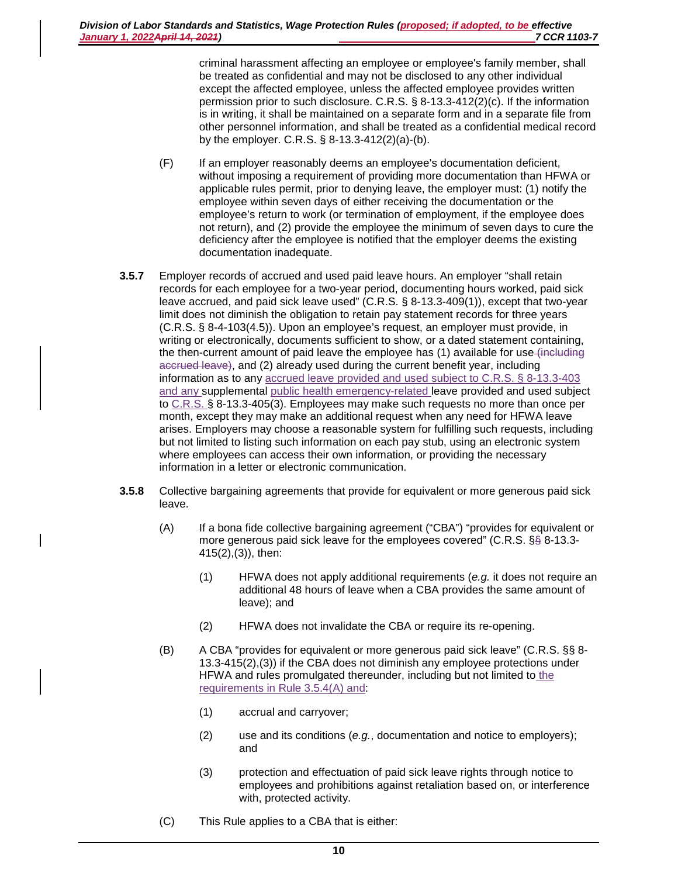criminal harassment affecting an employee or employee's family member, shall be treated as confidential and may not be disclosed to any other individual except the affected employee, unless the affected employee provides written permission prior to such disclosure. C.R.S. § 8-13.3-412(2)(c). If the information is in writing, it shall be maintained on a separate form and in a separate file from other personnel information, and shall be treated as a confidential medical record by the employer. C.R.S. § 8-13.3-412(2)(a)-(b).

- (F) If an employer reasonably deems an employee's documentation deficient, without imposing a requirement of providing more documentation than HFWA or applicable rules permit, prior to denying leave, the employer must: (1) notify the employee within seven days of either receiving the documentation or the employee's return to work (or termination of employment, if the employee does not return), and (2) provide the employee the minimum of seven days to cure the deficiency after the employee is notified that the employer deems the existing documentation inadequate.
- **3.5.7** Employer records of accrued and used paid leave hours. An employer "shall retain records for each employee for a two-year period, documenting hours worked, paid sick leave accrued, and paid sick leave used" (C.R.S. § 8-13.3-409(1)), except that two-year limit does not diminish the obligation to retain pay statement records for three years (C.R.S. § 8-4-103(4.5)). Upon an employee's request, an employer must provide, in writing or electronically, documents sufficient to show, or a dated statement containing, the then-current amount of paid leave the employee has (1) available for use-(including accrued leave), and (2) already used during the current benefit year, including information as to any accrued leave provided and used subject to C.R.S. § 8-13.3-403 and any supplemental public health emergency-related leave provided and used subject to C.R.S. § 8-13.3-405(3). Employees may make such requests no more than once per month, except they may make an additional request when any need for HFWA leave arises. Employers may choose a reasonable system for fulfilling such requests, including but not limited to listing such information on each pay stub, using an electronic system where employees can access their own information, or providing the necessary information in a letter or electronic communication.
- **3.5.8** Collective bargaining agreements that provide for equivalent or more generous paid sick leave.
	- (A) If a bona fide collective bargaining agreement ("CBA") "provides for equivalent or more generous paid sick leave for the employees covered" (C.R.S. §§ 8-13.3- 415(2),(3)), then:
		- (1) HFWA does not apply additional requirements (*e.g.* it does not require an additional 48 hours of leave when a CBA provides the same amount of leave); and
		- (2) HFWA does not invalidate the CBA or require its re-opening.
	- (B) A CBA "provides for equivalent or more generous paid sick leave" (C.R.S. §§ 8- 13.3-415(2),(3)) if the CBA does not diminish any employee protections under HFWA and rules promulgated thereunder, including but not limited to the requirements in Rule 3.5.4(A) and:
		- (1) accrual and carryover;
		- (2) use and its conditions (*e.g.*, documentation and notice to employers); and
		- (3) protection and effectuation of paid sick leave rights through notice to employees and prohibitions against retaliation based on, or interference with, protected activity.
	- (C) This Rule applies to a CBA that is either: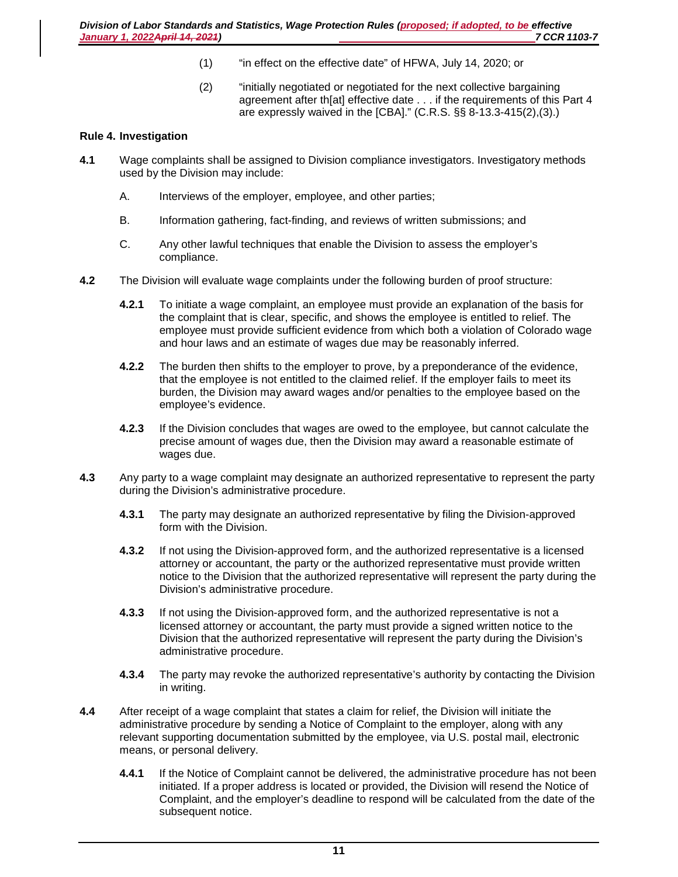- (1) "in effect on the effective date" of HFWA, July 14, 2020; or
- (2) "initially negotiated or negotiated for the next collective bargaining agreement after th[at] effective date . . . if the requirements of this Part 4 are expressly waived in the [CBA]." (C.R.S. §§ 8-13.3-415(2),(3).)

## **Rule 4. Investigation**

- **4.1** Wage complaints shall be assigned to Division compliance investigators. Investigatory methods used by the Division may include:
	- A. Interviews of the employer, employee, and other parties;
	- B. Information gathering, fact-finding, and reviews of written submissions; and
	- C. Any other lawful techniques that enable the Division to assess the employer's compliance.
- **4.2** The Division will evaluate wage complaints under the following burden of proof structure:
	- **4.2.1** To initiate a wage complaint, an employee must provide an explanation of the basis for the complaint that is clear, specific, and shows the employee is entitled to relief. The employee must provide sufficient evidence from which both a violation of Colorado wage and hour laws and an estimate of wages due may be reasonably inferred.
	- **4.2.2** The burden then shifts to the employer to prove, by a preponderance of the evidence, that the employee is not entitled to the claimed relief. If the employer fails to meet its burden, the Division may award wages and/or penalties to the employee based on the employee's evidence.
	- **4.2.3** If the Division concludes that wages are owed to the employee, but cannot calculate the precise amount of wages due, then the Division may award a reasonable estimate of wages due.
- **4.3** Any party to a wage complaint may designate an authorized representative to represent the party during the Division's administrative procedure.
	- **4.3.1** The party may designate an authorized representative by filing the Division-approved form with the Division.
	- **4.3.2** If not using the Division-approved form, and the authorized representative is a licensed attorney or accountant, the party or the authorized representative must provide written notice to the Division that the authorized representative will represent the party during the Division's administrative procedure.
	- **4.3.3** If not using the Division-approved form, and the authorized representative is not a licensed attorney or accountant, the party must provide a signed written notice to the Division that the authorized representative will represent the party during the Division's administrative procedure.
	- **4.3.4** The party may revoke the authorized representative's authority by contacting the Division in writing.
- **4.4** After receipt of a wage complaint that states a claim for relief, the Division will initiate the administrative procedure by sending a Notice of Complaint to the employer, along with any relevant supporting documentation submitted by the employee, via U.S. postal mail, electronic means, or personal delivery.
	- **4.4.1** If the Notice of Complaint cannot be delivered, the administrative procedure has not been initiated. If a proper address is located or provided, the Division will resend the Notice of Complaint, and the employer's deadline to respond will be calculated from the date of the subsequent notice.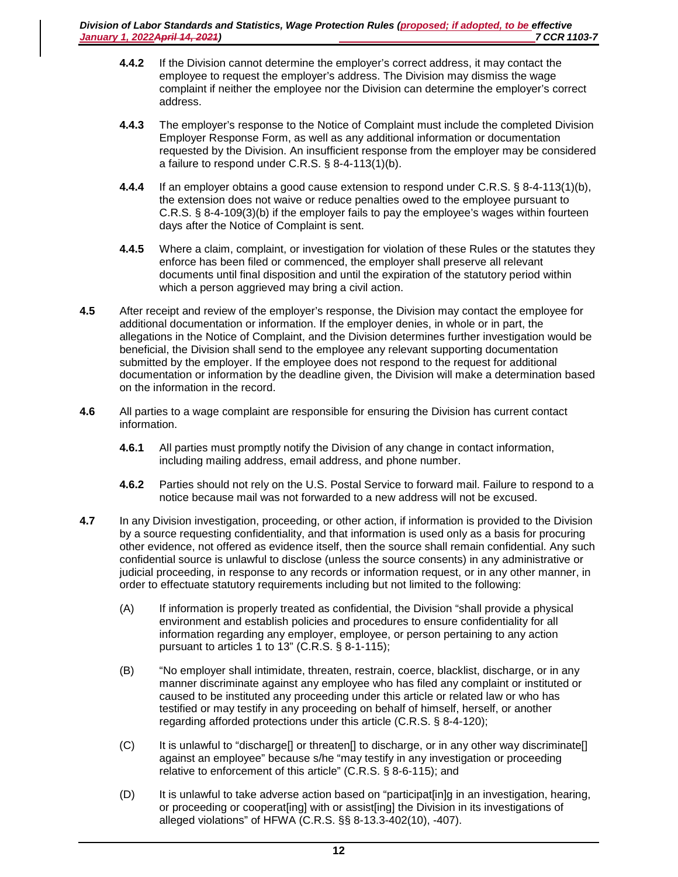- **4.4.2** If the Division cannot determine the employer's correct address, it may contact the employee to request the employer's address. The Division may dismiss the wage complaint if neither the employee nor the Division can determine the employer's correct address.
- **4.4.3** The employer's response to the Notice of Complaint must include the completed Division Employer Response Form, as well as any additional information or documentation requested by the Division. An insufficient response from the employer may be considered a failure to respond under C.R.S. § 8-4-113(1)(b).
- **4.4.4** If an employer obtains a good cause extension to respond under C.R.S. § 8-4-113(1)(b), the extension does not waive or reduce penalties owed to the employee pursuant to C.R.S. § 8-4-109(3)(b) if the employer fails to pay the employee's wages within fourteen days after the Notice of Complaint is sent.
- **4.4.5** Where a claim, complaint, or investigation for violation of these Rules or the statutes they enforce has been filed or commenced, the employer shall preserve all relevant documents until final disposition and until the expiration of the statutory period within which a person aggrieved may bring a civil action.
- **4.5** After receipt and review of the employer's response, the Division may contact the employee for additional documentation or information. If the employer denies, in whole or in part, the allegations in the Notice of Complaint, and the Division determines further investigation would be beneficial, the Division shall send to the employee any relevant supporting documentation submitted by the employer. If the employee does not respond to the request for additional documentation or information by the deadline given, the Division will make a determination based on the information in the record.
- **4.6** All parties to a wage complaint are responsible for ensuring the Division has current contact information.
	- **4.6.1** All parties must promptly notify the Division of any change in contact information, including mailing address, email address, and phone number.
	- **4.6.2** Parties should not rely on the U.S. Postal Service to forward mail. Failure to respond to a notice because mail was not forwarded to a new address will not be excused.
- **4.7** In any Division investigation, proceeding, or other action, if information is provided to the Division by a source requesting confidentiality, and that information is used only as a basis for procuring other evidence, not offered as evidence itself, then the source shall remain confidential. Any such confidential source is unlawful to disclose (unless the source consents) in any administrative or judicial proceeding, in response to any records or information request, or in any other manner, in order to effectuate statutory requirements including but not limited to the following:
	- (A) If information is properly treated as confidential, the Division "shall provide a physical environment and establish policies and procedures to ensure confidentiality for all information regarding any employer, employee, or person pertaining to any action pursuant to articles 1 to 13" (C.R.S. § 8-1-115);
	- (B) "No employer shall intimidate, threaten, restrain, coerce, blacklist, discharge, or in any manner discriminate against any employee who has filed any complaint or instituted or caused to be instituted any proceeding under this article or related law or who has testified or may testify in any proceeding on behalf of himself, herself, or another regarding afforded protections under this article (C.R.S. § 8-4-120);
	- (C) It is unlawful to "discharge[] or threaten[] to discharge, or in any other way discriminate[] against an employee" because s/he "may testify in any investigation or proceeding relative to enforcement of this article" (C.R.S. § 8-6-115); and
	- (D) It is unlawful to take adverse action based on "participat[in]g in an investigation, hearing, or proceeding or cooperat[ing] with or assist[ing] the Division in its investigations of alleged violations" of HFWA (C.R.S. §§ 8-13.3-402(10), -407).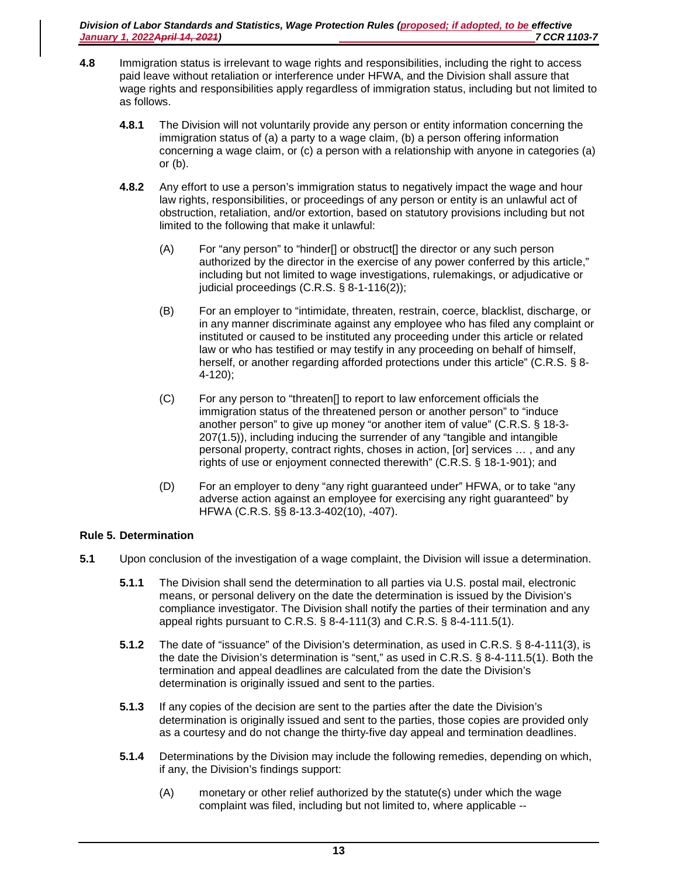*Division of Labor Standards and Statistics, Wage Protection Rules (proposed; if adopted, to be effective January 1, 2022 April 14, 2021*)

- **4.8** Immigration status is irrelevant to wage rights and responsibilities, including the right to access paid leave without retaliation or interference under HFWA, and the Division shall assure that wage rights and responsibilities apply regardless of immigration status, including but not limited to as follows.
	- **4.8.1** The Division will not voluntarily provide any person or entity information concerning the immigration status of (a) a party to a wage claim, (b) a person offering information concerning a wage claim, or (c) a person with a relationship with anyone in categories (a) or (b).
	- **4.8.2** Any effort to use a person's immigration status to negatively impact the wage and hour law rights, responsibilities, or proceedings of any person or entity is an unlawful act of obstruction, retaliation, and/or extortion, based on statutory provisions including but not limited to the following that make it unlawful:
		- (A) For "any person" to "hinder[] or obstruct[] the director or any such person authorized by the director in the exercise of any power conferred by this article," including but not limited to wage investigations, rulemakings, or adjudicative or judicial proceedings (C.R.S. § 8-1-116(2));
		- (B) For an employer to "intimidate, threaten, restrain, coerce, blacklist, discharge, or in any manner discriminate against any employee who has filed any complaint or instituted or caused to be instituted any proceeding under this article or related law or who has testified or may testify in any proceeding on behalf of himself, herself, or another regarding afforded protections under this article" (C.R.S. § 8- 4-120);
		- (C) For any person to "threaten[] to report to law enforcement officials the immigration status of the threatened person or another person" to "induce another person" to give up money "or another item of value" (C.R.S. § 18-3- 207(1.5)), including inducing the surrender of any "tangible and intangible personal property, contract rights, choses in action, [or] services … , and any rights of use or enjoyment connected therewith" (C.R.S. § 18-1-901); and
		- (D) For an employer to deny "any right guaranteed under" HFWA, or to take "any adverse action against an employee for exercising any right guaranteed" by HFWA (C.R.S. §§ 8-13.3-402(10), -407).

# **Rule 5. Determination**

- **5.1** Upon conclusion of the investigation of a wage complaint, the Division will issue a determination.
	- **5.1.1** The Division shall send the determination to all parties via U.S. postal mail, electronic means, or personal delivery on the date the determination is issued by the Division's compliance investigator. The Division shall notify the parties of their termination and any appeal rights pursuant to C.R.S. § 8-4-111(3) and C.R.S. § 8-4-111.5(1).
	- **5.1.2** The date of "issuance" of the Division's determination, as used in C.R.S. § 8-4-111(3), is the date the Division's determination is "sent," as used in C.R.S. § 8-4-111.5(1). Both the termination and appeal deadlines are calculated from the date the Division's determination is originally issued and sent to the parties.
	- **5.1.3** If any copies of the decision are sent to the parties after the date the Division's determination is originally issued and sent to the parties, those copies are provided only as a courtesy and do not change the thirty-five day appeal and termination deadlines.
	- **5.1.4** Determinations by the Division may include the following remedies, depending on which, if any, the Division's findings support:
		- (A) monetary or other relief authorized by the statute(s) under which the wage complaint was filed, including but not limited to, where applicable --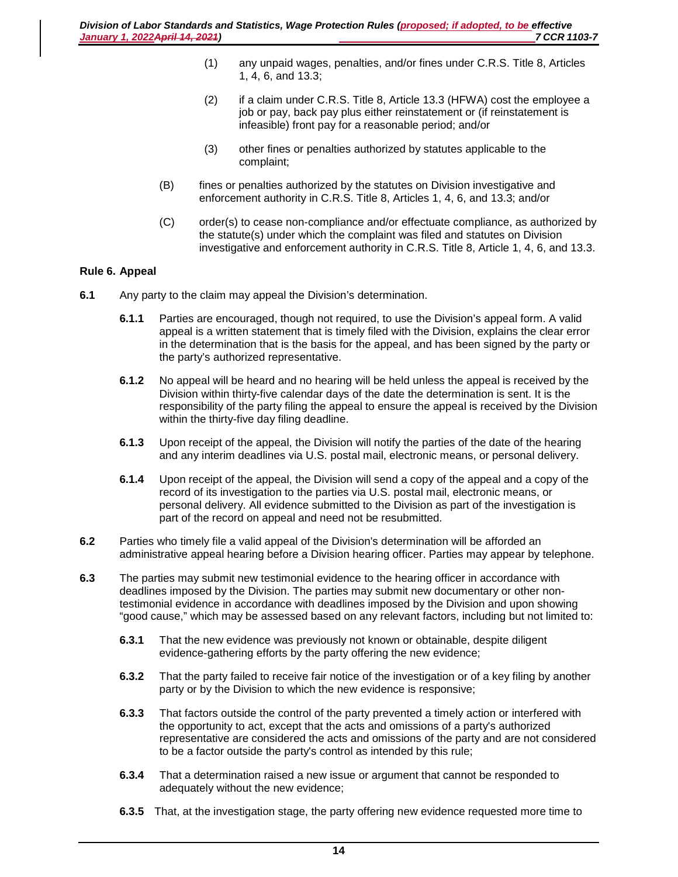- (1) any unpaid wages, penalties, and/or fines under C.R.S. Title 8, Articles 1, 4, 6, and 13.3;
- (2) if a claim under C.R.S. Title 8, Article 13.3 (HFWA) cost the employee a job or pay, back pay plus either reinstatement or (if reinstatement is infeasible) front pay for a reasonable period; and/or
- (3) other fines or penalties authorized by statutes applicable to the complaint;
- (B) fines or penalties authorized by the statutes on Division investigative and enforcement authority in C.R.S. Title 8, Articles 1, 4, 6, and 13.3; and/or
- (C) order(s) to cease non-compliance and/or effectuate compliance, as authorized by the statute(s) under which the complaint was filed and statutes on Division investigative and enforcement authority in C.R.S. Title 8, Article 1, 4, 6, and 13.3.

## **Rule 6. Appeal**

- **6.1** Any party to the claim may appeal the Division's determination.
	- **6.1.1** Parties are encouraged, though not required, to use the Division's appeal form. A valid appeal is a written statement that is timely filed with the Division, explains the clear error in the determination that is the basis for the appeal, and has been signed by the party or the party's authorized representative.
	- **6.1.2** No appeal will be heard and no hearing will be held unless the appeal is received by the Division within thirty-five calendar days of the date the determination is sent. It is the responsibility of the party filing the appeal to ensure the appeal is received by the Division within the thirty-five day filing deadline.
	- **6.1.3** Upon receipt of the appeal, the Division will notify the parties of the date of the hearing and any interim deadlines via U.S. postal mail, electronic means, or personal delivery.
	- **6.1.4** Upon receipt of the appeal, the Division will send a copy of the appeal and a copy of the record of its investigation to the parties via U.S. postal mail, electronic means, or personal delivery. All evidence submitted to the Division as part of the investigation is part of the record on appeal and need not be resubmitted.
- **6.2** Parties who timely file a valid appeal of the Division's determination will be afforded an administrative appeal hearing before a Division hearing officer. Parties may appear by telephone.
- **6.3** The parties may submit new testimonial evidence to the hearing officer in accordance with deadlines imposed by the Division. The parties may submit new documentary or other nontestimonial evidence in accordance with deadlines imposed by the Division and upon showing "good cause," which may be assessed based on any relevant factors, including but not limited to:
	- **6.3.1** That the new evidence was previously not known or obtainable, despite diligent evidence-gathering efforts by the party offering the new evidence;
	- **6.3.2** That the party failed to receive fair notice of the investigation or of a key filing by another party or by the Division to which the new evidence is responsive;
	- **6.3.3** That factors outside the control of the party prevented a timely action or interfered with the opportunity to act, except that the acts and omissions of a party's authorized representative are considered the acts and omissions of the party and are not considered to be a factor outside the party's control as intended by this rule;
	- **6.3.4** That a determination raised a new issue or argument that cannot be responded to adequately without the new evidence;
	- **6.3.5** That, at the investigation stage, the party offering new evidence requested more time to